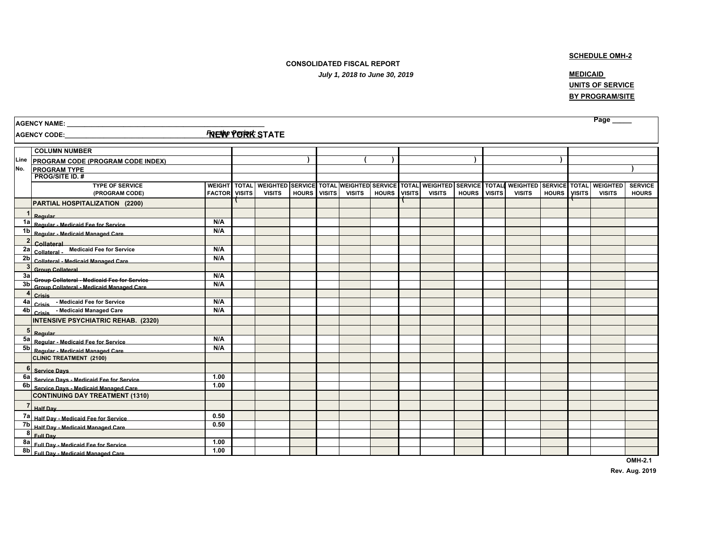#### **CONSOLIDATED FISCAL REPORT**

### *July 1, 2018 to June 30, 2019* **MEDICAID**

# **SCHEDULE OMH-2**

**BY PROGRAM/SITE**

 **NEW YORK STATE***For the Period:*  **AGENCY CODE:\_\_\_\_\_\_\_\_\_\_\_\_\_\_\_\_\_\_\_\_\_\_\_\_\_\_\_\_\_\_\_\_\_\_\_\_\_\_\_\_\_\_\_\_\_\_\_\_\_\_\_\_\_\_\_\_ Page \_\_\_\_\_ AGENCY NAME: \_\_\_\_\_\_\_\_\_\_\_\_\_\_\_\_\_\_\_\_\_\_\_\_\_\_\_\_\_\_\_\_\_\_\_\_\_\_\_\_\_\_\_\_\_\_\_\_\_\_\_\_\_\_\_\_ Line No. COLUMN NUMBERPROGRAM CODE (PROGRAM CODE INDEX) ( ) ( ) ( ) ( WEIGHTTOTALWEIGHTEDSERVICETOTALWEIGHTEDSERVICETOTALWEIGHTEDSERVICETOTALWEIGHTEDSERVICETOTALWEIGHTED) ( VISITSPROGRAM TYPE PROG/SITE ID. # ) TYPE OF SERVICE (PROGRAM CODE) FACTOR VISITSVISITS HOURS VISITS VISITS HOURS VISITSVISITS HOURS VISITSVISITS HOURSVISITSSERVICE HOURSPARTIAL HOSPITALIZATION (2200) 1 Regular 1a Regular - Medicaid Fee for Service N/A 1b Regular - Medicaid Managed Care**<br>2 **Authority** <sup>2</sup> Collateral<br><sup>2a</sup> Collateral **2a** Collateral - Medicaid Fee for Service **N/A 2b Collateral - Medicaid Managed Care N/A 3** Group Collateral<br>3a **3a Group Collateral - Medicaid Fee for Service N/A 3b Group Collateral - Medicaid Managed Care N/A 4 Crisis4a** Crisis - Medicaid Fee for Service **N/A 4b Crisis - Medicaid Managed Care N/A INTENSIVE PSYCHIATRIC REHAB. (2320) 5 Regular 5a Regular - Medicaid Fee for Service N/A**  $\overline{5b}$  Regular - Medicaid Managed Care **CLINIC TREATMENT (2100) 6 Service Days 6a Service Days - Medicaid Fee for Service 1.00 6** Service Days - Medicaid Managed Care **CONTINUING DAY TREATMENT (1310) 7** Half Day<br>**7a** Half Day **7a Half Day - Medicaid Fee for Service 0.50 7b Half Day - Medicaid Managed Care 0.50 8 Full Day 8a Full Day - Medicaid Fee for Service 1.00 8b Full Day - Medicaid Managed Care 1.00**

**OMH-2.1Rev. Aug. 2019**

**UNITS OF SERVICE**